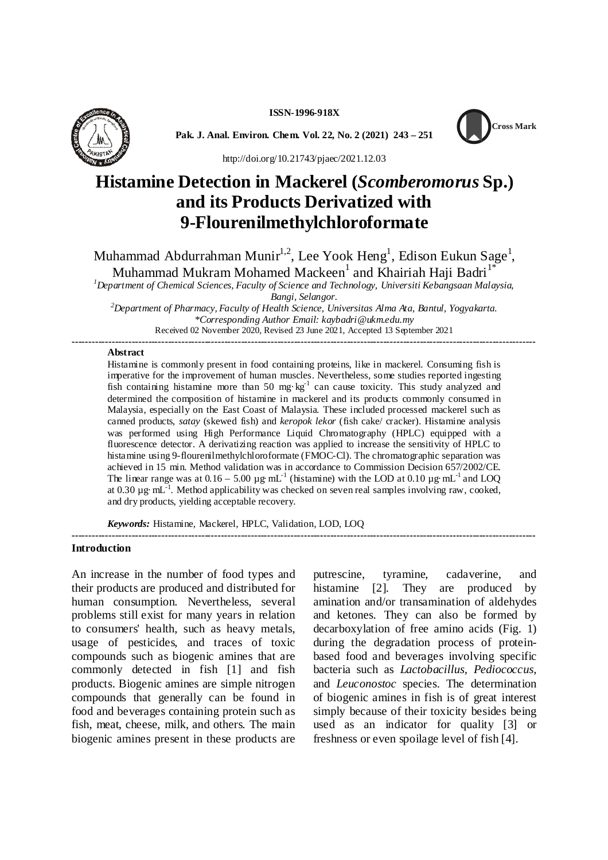**ISSN-1996-918X**



**Pak. J. Anal. Environ. Chem. Vol. 22, No. 2 (2021) 243 – 251**



http://doi.org/10.21743/pjaec/2021.12.03

# **Histamine Detection in Mackerel (***Scomberomorus* **Sp.) and its Products Derivatized with 9-Flourenilmethylchloroformate**

Muhammad Abdurrahman Munir $^{1,2}$ , Lee Yook Heng $^{1}$ , Edison Eukun Sage $^{1}$ ,

Muhammad Mukram Mohamed Mackeen $^{\rm l}$  and Khairiah Haji Badri $^{\rm l}^{\ast}$ 

*<sup>1</sup>Department of Chemical Sciences, Faculty of Science and Technology, Universiti Kebangsaan Malaysia, Bangi, Selangor.*

*<sup>2</sup>Department of Pharmacy, Faculty of Health Science, Universitas Alma Ata, Bantul, Yogyakarta. \*Corresponding Author Email: kaybadri@ukm.edu.my* Received 02 November 2020, Revised 23 June 2021, Accepted 13 September 2021

### **--------------------------------------------------------------------------------------------------------------------------------------------**

### **Abstract**

Histamine is commonly present in food containing proteins, like in mackerel. Consuming fish is imperative for the improvement of human muscles. Nevertheless, some studies reported ingesting fish containing histamine more than 50 mg·kg<sup>-1</sup> can cause toxicity. This study analyzed and determined the composition of histamine in mackerel and its products commonly consumed in Malaysia, especially on the East Coast of Malaysia. These included processed mackerel such as canned products, *satay* (skewed fish) and *keropok lekor* (fish cake/ cracker). Histamine analysis was performed using High Performance Liquid Chromatography (HPLC) equipped with a fluorescence detector. A derivatizing reaction was applied to increase the sensitivity of HPLC to histamine using 9-flourenilmethylchloroformate (FMOC-Cl). The chromatographic separation was achieved in 15 min. Method validation was in accordance to Commission Decision 657/2002/CE. The linear range was at 0.16 – 5.00  $\mu$ g·mL<sup>-1</sup> (histamine) with the LOD at 0.10  $\mu$ g·mL<sup>-1</sup> and LOQ at 0.30  $\mu$ g·mL<sup>-1</sup>. Method applicability was checked on seven real samples involving raw, cooked, and dry products, yielding acceptable recovery.

*Keywords:* Histamine, Mackerel, HPLC, Validation, LOD, LOQ **--------------------------------------------------------------------------------------------------------------------------------------------**

#### **Introduction**

An increase in the number of food types and their products are produced and distributed for human consumption. Nevertheless, several problems still exist for many years in relation to consumers' health, such as heavy metals, usage of pesticides, and traces of toxic compounds such as biogenic amines that are commonly detected in fish [1] and fish products. Biogenic amines are simple nitrogen compounds that generally can be found in food and beverages containing protein such as fish, meat, cheese, milk, and others. The main biogenic amines present in these products are

putrescine, tyramine, cadaverine, and histamine [2]. They are produced by amination and/or transamination of aldehydes and ketones. They can also be formed by decarboxylation of free amino acids (Fig. 1) during the degradation process of proteinbased food and beverages involving specific bacteria such as *Lactobacillus, Pediococcus,* and *Leuconostoc* species. The determination of biogenic amines in fish is of great interest simply because of their toxicity besides being used as an indicator for quality [3] or freshness or even spoilage level of fish [4].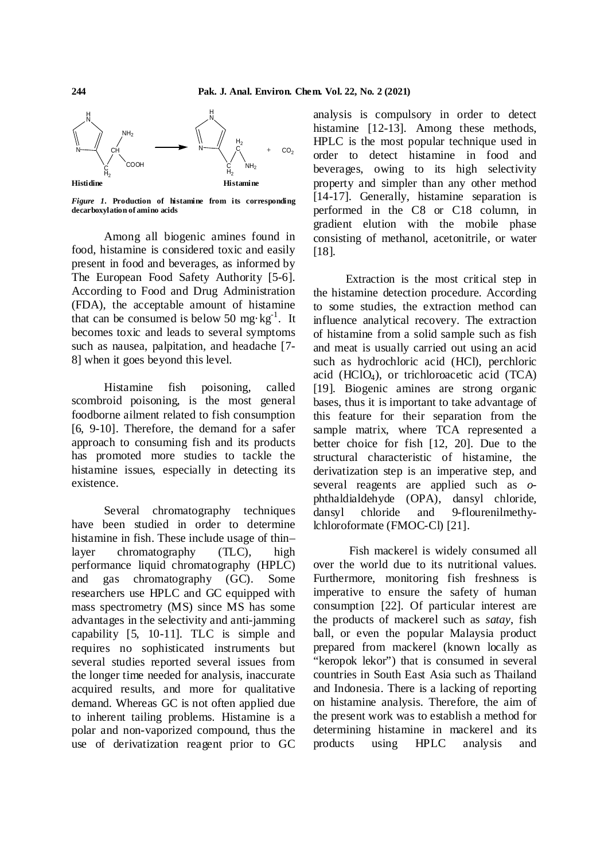

*Figure 1.* **Production of histamine from its corresponding decarboxylation of amino acids**

Among all biogenic amines found in food, histamine is considered toxic and easily present in food and beverages, as informed by The European Food Safety Authority [5-6]. According to Food and Drug Administration (FDA), the acceptable amount of histamine that can be consumed is below 50 mg·kg<sup>-1</sup>. It in becomes toxic and leads to several symptoms such as nausea, palpitation, and headache [7- 8] when it goes beyond this level.

Histamine fish poisoning, called scombroid poisoning, is the most general foodborne ailment related to fish consumption [6, 9-10]. Therefore, the demand for a safer approach to consuming fish and its products has promoted more studies to tackle the histamine issues, especially in detecting its existence.

Several chromatography techniques have been studied in order to determine histamine in fish. These include usage of thin– layer chromatography (TLC), high performance liquid chromatography (HPLC) and gas chromatography (GC). Some researchers use HPLC and GC equipped with mass spectrometry (MS) since MS has some advantages in the selectivity and anti-jamming capability [5, 10-11]. TLC is simple and requires no sophisticated instruments but several studies reported several issues from the longer time needed for analysis, inaccurate acquired results, and more for qualitative demand. Whereas GC is not often applied due to inherent tailing problems. Histamine is a polar and non-vaporized compound, thus the use of derivatization reagent prior to GC

analysis is compulsory in order to detect histamine [12-13]. Among these methods, HPLC is the most popular technique used in order to detect histamine in food and beverages, owing to its high selectivity property and simpler than any other method [14-17]. Generally, histamine separation is performed in the C8 or C18 column, in gradient elution with the mobile phase consisting of methanol, acetonitrile, or water [18].

Extraction is the most critical step in the histamine detection procedure. According to some studies, the extraction method can influence analytical recovery. The extraction of histamine from a solid sample such as fish and meat is usually carried out using an acid such as hydrochloric acid (HCl), perchloric acid (HCl $O_4$ ), or trichloroacetic acid (TCA) [19]. Biogenic amines are strong organic bases, thus it is important to take advantage of this feature for their separation from the sample matrix, where TCA represented a better choice for fish [12, 20]. Due to the structural characteristic of histamine, the derivatization step is an imperative step, and several reagents are applied such as *o*phthaldialdehyde (OPA), dansyl chloride, dansyl chloride and 9-flourenilmethylchloroformate (FMOC-Cl) [21].

Fish mackerel is widely consumed all over the world due to its nutritional values. Furthermore, monitoring fish freshness is imperative to ensure the safety of human consumption [22]. Of particular interest are the products of mackerel such as *satay*, fish ball, or even the popular Malaysia product prepared from mackerel (known locally as "keropok lekor") that is consumed in several countries in South East Asia such as Thailand and Indonesia. There is a lacking of reporting on histamine analysis. Therefore, the aim of the present work was to establish a method for determining histamine in mackerel and its products using HPLC analysis and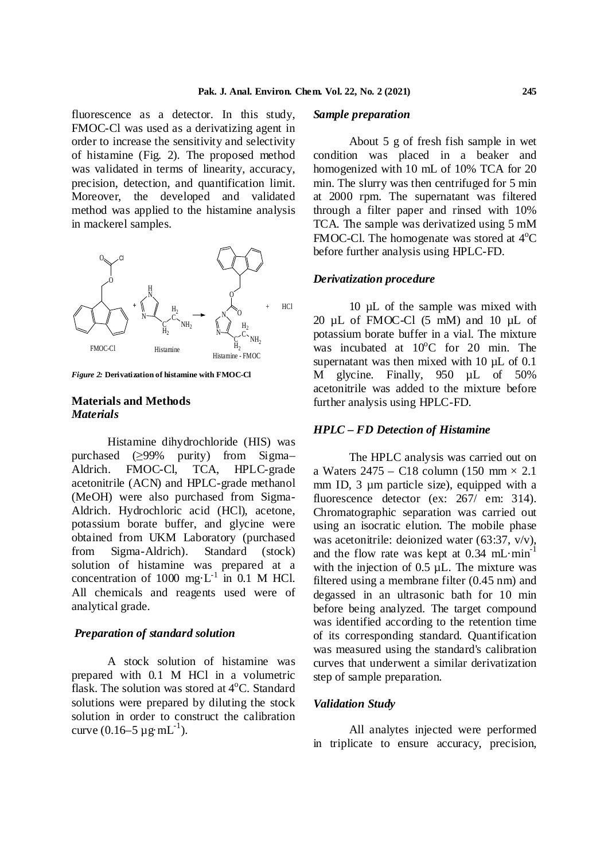fluorescence as a detector. In this study, FMOC-Cl was used as a derivatizing agent in order to increase the sensitivity and selectivity of histamine (Fig. 2). The proposed method was validated in terms of linearity, accuracy, precision, detection, and quantification limit. Moreover, the developed and validated method was applied to the histamine analysis in mackerel samples.



*Figure 2:* **Derivatization of histamine with FMOC-Cl**

### **Materials and Methods** *Materials*

Histamine dihydrochloride (HIS) was purchased (≥99% purity) from Sigma– Aldrich. FMOC-Cl, TCA, HPLC-grade acetonitrile (ACN) and HPLC-grade methanol (MeOH) were also purchased from Sigma-Aldrich. Hydrochloric acid (HCl), acetone, potassium borate buffer, and glycine were obtained from UKM Laboratory (purchased from Sigma-Aldrich). Standard (stock) solution of histamine was prepared at a concentration of 1000 mg $\cdot$ L<sup>-1</sup> in 0.1 M HCl. All chemicals and reagents used were of analytical grade.

# *Preparation of standard solution*

A stock solution of histamine was prepared with 0.1 M HCl in a volumetric flask. The solution was stored at  $4^{\circ}$ C. Standard solutions were prepared by diluting the stock solution in order to construct the calibration curve  $(0.16-5 \,\mu \mathrm{g} \cdot \mathrm{mL}^{-1})$ .

# *Sample preparation*

About 5 g of fresh fish sample in wet condition was placed in a beaker and homogenized with 10 mL of 10% TCA for 20 min. The slurry was then centrifuged for 5 min at 2000 rpm. The supernatant was filtered through a filter paper and rinsed with 10% TCA. The sample was derivatized using 5 mM FMOC-Cl. The homogenate was stored at  $4^{\circ}C$ before further analysis using HPLC-FD.

#### *Derivatization procedure*

10 µL of the sample was mixed with 20 µL of FMOC-Cl (5 mM) and 10 µL of potassium borate buffer in a vial. The mixture was incubated at  $10^{\circ}$ C for 20 min. The supernatant was then mixed with 10  $\mu$ L of 0.1 M glycine. Finally, 950 µL of 50% acetonitrile was added to the mixture before further analysis using HPLC-FD.

#### *HPLC – FD Detection of Histamine*

The HPLC analysis was carried out on a Waters 2475 – C18 column (150 mm × 2.1 mm ID, 3  $\mu$ m particle size), equipped with a fluorescence detector (ex:  $267/$  em: 314). Chromatographic separation was carried out using an isocratic elution. The mobile phase was acetonitrile: deionized water (63:37, v/v), and the flow rate was kept at  $0.34 \text{ mL-min}^{-1}$ with the injection of  $0.5 \mu L$ . The mixture was filtered using a membrane filter (0.45 nm) and degassed in an ultrasonic bath for 10 min before being analyzed. The target compound was identified according to the retention time of its corresponding standard. Quantification was measured using the standard's calibration curves that underwent a similar derivatization step of sample preparation.

### *Validation Study*

All analytes injected were performed in triplicate to ensure accuracy, precision,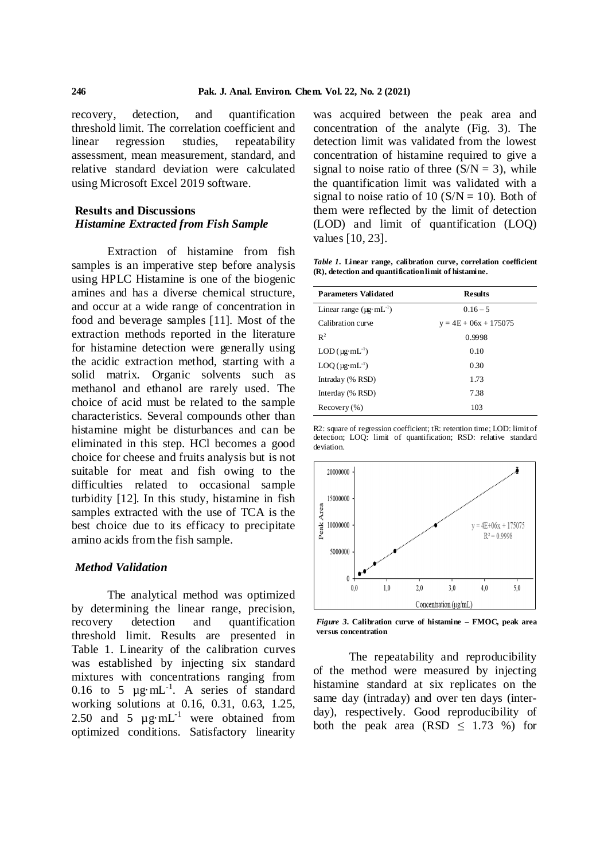recovery, detection, and quantification threshold limit. The correlation coefficient and linear regression studies, repeatability assessment, mean measurement, standard, and relative standard deviation were calculated using Microsoft Excel 2019 software.

# **Results and Discussions** *Histamine Extracted from Fish Sample*

Extraction of histamine from fish samples is an imperative step before analysis using HPLC Histamine is one of the biogenic amines and has a diverse chemical structure, and occur at a wide range of concentration in food and beverage samples [11]. Most of the extraction methods reported in the literature for histamine detection were generally using the acidic extraction method, starting with a solid matrix. Organic solvents such as methanol and ethanol are rarely used. The choice of acid must be related to the sample characteristics. Several compounds other than histamine might be disturbances and can be eliminated in this step. HCl becomes a good choice for cheese and fruits analysis but is not suitable for meat and fish owing to the difficulties related to occasional sample turbidity [12]. In this study, histamine in fish samples extracted with the use of TCA is the best choice due to its efficacy to precipitate amino acids from the fish sample.

#### *Method Validation*

The analytical method was optimized by determining the linear range, precision, recovery detection and quantification threshold limit. Results are presented in Table 1. Linearity of the calibration curves was established by injecting six standard mixtures with concentrations ranging from 0.16 to 5  $\mu$ g·mL<sup>-1</sup>. A series of standard working solutions at 0.16, 0.31, 0.63, 1.25, 2.50 and 5  $\mu$ g·mL<sup>-1</sup> were obtained from optimized conditions. Satisfactory linearity

was acquired between the peak area and concentration of the analyte (Fig. 3). The detection limit was validated from the lowest concentration of histamine required to give a signal to noise ratio of three  $(S/N = 3)$ , while the quantification limit was validated with a signal to noise ratio of 10 ( $S/N = 10$ ). Both of them were reflected by the limit of detection (LOD) and limit of quantification (LOQ) values [10, 23].

*Table 1.* **Linear range, calibration curve, correlation coefficient (R), detection and quantificationlimit of histamine.**

| <b>Parameters Validated</b>          | <b>Results</b>          |
|--------------------------------------|-------------------------|
| Linear range $(\mu g \cdot mL^{-1})$ | $0.16 - 5$              |
| Calibration curve                    | $y = 4E + 06x + 175075$ |
| $R^2$                                | 0.9998                  |
| $LOD$ ( $\mu$ g·mL <sup>-1</sup> )   | 0.10                    |
| $LOQ$ ( $\mu$ g·mL <sup>-1</sup> )   | 0.30                    |
| Intraday (% RSD)                     | 1.73                    |
| Interday (% RSD)                     | 7.38                    |
| Recovery (%)                         | 103                     |

R2: square of regression coefficient; tR: retention time; LOD: limit of detection; LOQ: limit of quantification; RSD: relative standard deviation.



*Figure 3.* **Calibration curve of histamine – FMOC, peak area versus concentration**

The repeatability and reproducibility of the method were measured by injecting histamine standard at six replicates on the same day (intraday) and over ten days (interday), respectively. Good reproducibility of both the peak area  $(RSD \leq 1.73 \%)$  for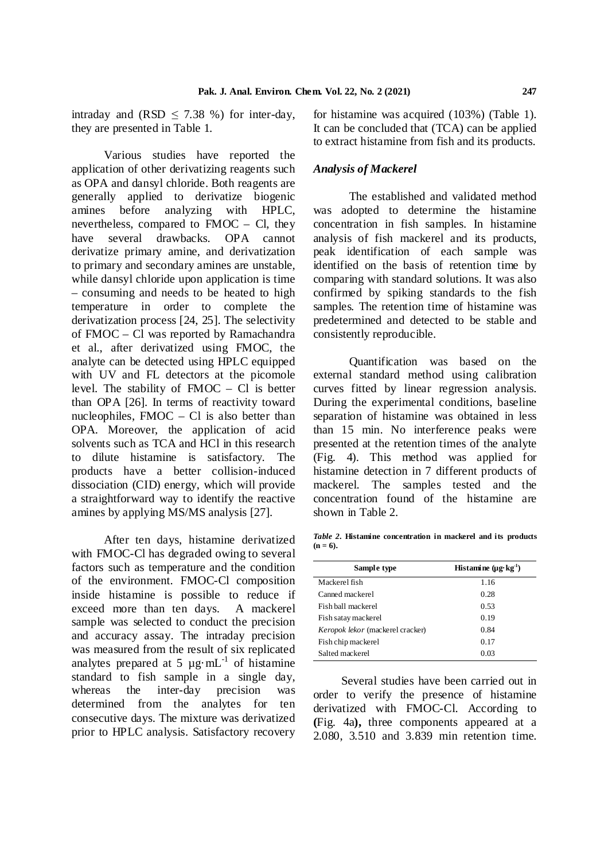intraday and (RSD  $\leq$  7.38 %) for inter-day, they are presented in Table 1.

Various studies have reported the application of other derivatizing reagents such as OPA and dansyl chloride. Both reagents are generally applied to derivatize biogenic amines before analyzing with HPLC, nevertheless, compared to FMOC – Cl, they have several drawbacks. OPA cannot derivatize primary amine, and derivatization to primary and secondary amines are unstable, while dansyl chloride upon application is time – consuming and needs to be heated to high temperature in order to complete the derivatization process [24, 25]. The selectivity of FMOC – Cl was reported by Ramachandra et al., after derivatized using FMOC, the analyte can be detected using HPLC equipped with UV and FL detectors at the picomole level. The stability of FMOC – Cl is better than OPA [26]. In terms of reactivity toward nucleophiles, FMOC – Cl is also better than OPA. Moreover, the application of acid solvents such as TCA and HCl in this research to dilute histamine is satisfactory. The products have a better collision-induced dissociation (CID) energy, which will provide a straightforward way to identify the reactive amines by applying MS/MS analysis [27].

After ten days, histamine derivatized with FMOC-Cl has degraded owing to several factors such as temperature and the condition of the environment. FMOC-Cl composition inside histamine is possible to reduce if exceed more than ten days. A mackerel sample was selected to conduct the precision and accuracy assay. The intraday precision was measured from the result of six replicated analytes prepared at 5  $\mu$ g·mL<sup>-1</sup> of histamine standard to fish sample in a single day, whereas the inter-day precision was determined from the analytes for ten consecutive days. The mixture was derivatized prior to HPLC analysis. Satisfactory recovery

for histamine was acquired (103%) (Table 1). It can be concluded that (TCA) can be applied to extract histamine from fish and its products.

#### *Analysis of Mackerel*

The established and validated method was adopted to determine the histamine concentration in fish samples. In histamine analysis of fish mackerel and its products, peak identification of each sample was identified on the basis of retention time by comparing with standard solutions. It was also confirmed by spiking standards to the fish samples. The retention time of histamine was predetermined and detected to be stable and consistently reproducible.

Quantification was based on the external standard method using calibration curves fitted by linear regression analysis. During the experimental conditions, baseline separation of histamine was obtained in less than 15 min. No interference peaks were presented at the retention times of the analyte (Fig. 4). This method was applied for histamine detection in 7 different products of mackerel. The samples tested and the concentration found of the histamine are shown in Table 2.

*Table 2.* **Histamine concentration in mackerel and its products**  $(n - 6)$ .

| Sample type                      | Histamine $(\mu g \cdot kg^{-1})$ |
|----------------------------------|-----------------------------------|
| Mackerel fish                    | 1.16                              |
| Canned mackerel                  | 0.28                              |
| Fish ball mackerel               | 0.53                              |
| Fish satay mackerel              | 0.19                              |
| Keropok lekor (mackerel cracker) | 0.84                              |
| Fish chip mackerel               | 0.17                              |
| Salted mackerel                  | 0.03                              |

Several studies have been carried out in order to verify the presence of histamine derivatized with FMOC-Cl. According to **(**Fig. 4a**),** three components appeared at a 2.080, 3.510 and 3.839 min retention time.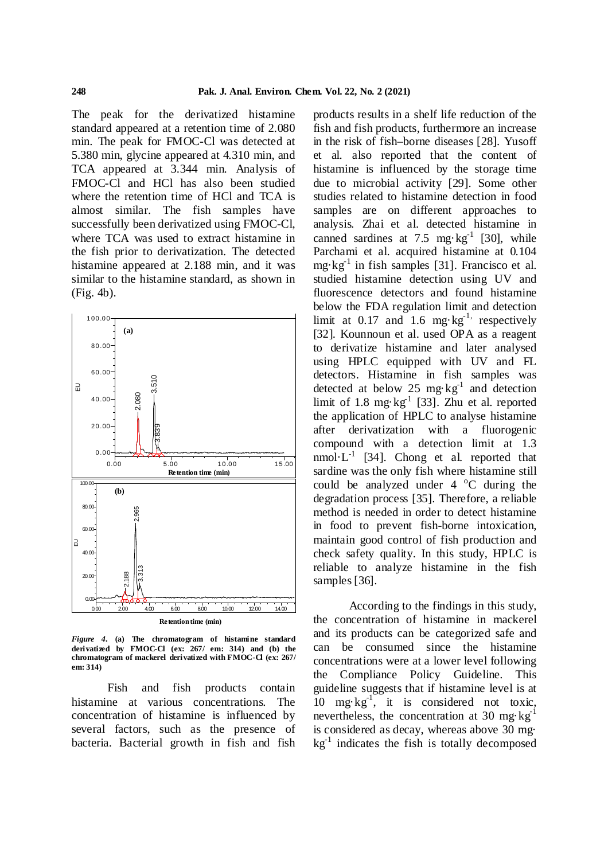The peak for the derivatized histamine standard appeared at a retention time of 2.080 min. The peak for FMOC-Cl was detected at 5.380 min, glycine appeared at 4.310 min, and TCA appeared at 3.344 min. Analysis of FMOC-Cl and HCl has also been studied where the retention time of HCl and TCA is almost similar. The fish samples have successfully been derivatized using FMOC-Cl, where TCA was used to extract histamine in the fish prior to derivatization. The detected histamine appeared at 2.188 min, and it was similar to the histamine standard, as shown in (Fig. 4b).



*Figure 4.* **(a) The chromatogram of histamine standard derivatized by FMOC-Cl (ex: 267/ em: 314) and (b) the chromatogram of mackerel derivatized with FMOC-Cl (ex: 267/ em: 314)**

Fish and fish products contain histamine at various concentrations. The concentration of histamine is influenced by several factors, such as the presence of bacteria. Bacterial growth in fish and fish

products results in a shelf life reduction of the fish and fish products, furthermore an increase in the risk of fish–borne diseases [28]. Yusoff et al. also reported that the content of histamine is influenced by the storage time due to microbial activity [29]. Some other studies related to histamine detection in food samples are on different approaches to analysis. Zhai et al. detected histamine in canned sardines at 7.5 mg·kg<sup>-1</sup> [30], while Parchami et al. acquired histamine at 0.104 mg·kg-1 in fish samples [31]. Francisco et al. studied histamine detection using UV and fluorescence detectors and found histamine below the FDA regulation limit and detection limit at 0.17 and 1.6 mg·kg<sup>-1,</sup> respectively [32]. Kounnoun et al. used OPA as a reagent to derivatize histamine and later analysed using HPLC equipped with UV and FL detectors. Histamine in fish samples was detected at below 25 mg $\text{kg}^{-1}$  and detection limit of 1.8 mg·kg<sup>-1</sup> [33]. Zhu et al. reported the application of HPLC to analyse histamine after derivatization with a fluorogenic compound with a detection limit at 1.3 nmol· $L^{-1}$  [34]. Chong et al. reported that sardine was the only fish where histamine still could be analyzed under  $4 \degree C$  during the degradation process [35]. Therefore, a reliable method is needed in order to detect histamine in food to prevent fish-borne intoxication, maintain good control of fish production and check safety quality. In this study, HPLC is reliable to analyze histamine in the fish samples [36].

According to the findings in this study, the concentration of histamine in mackerel and its products can be categorized safe and can be consumed since the histamine concentrations were at a lower level following the Compliance Policy Guideline. This guideline suggests that if histamine level is at 10 mg·kg<sup>-1</sup>, it is considered not toxic, nevertheless, the concentration at 30 mg·kg<sup>-1</sup> is considered as decay, whereas above 30 mg·  $kg<sup>-1</sup>$  indicates the fish is totally decomposed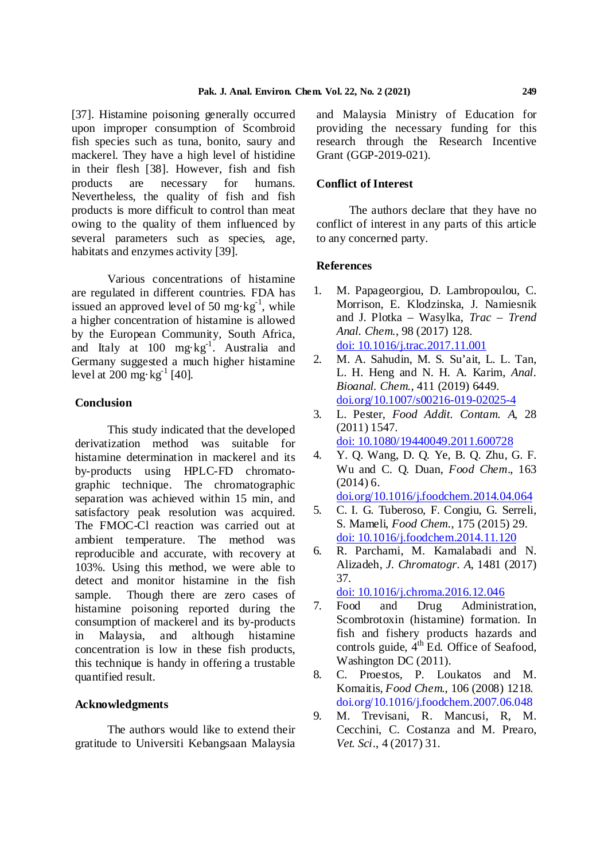[37]. Histamine poisoning generally occurred upon improper consumption of Scombroid fish species such as tuna, bonito, saury and mackerel. They have a high level of histidine in their flesh [38]. However, fish and fish products are necessary for humans. Nevertheless, the quality of fish and fish products is more difficult to control than meat owing to the quality of them influenced by several parameters such as species, age, habitats and enzymes activity [39].

Various concentrations of histamine are regulated in different countries. FDA has issued an approved level of 50 mg·kg<sup>-1</sup>, while a higher concentration of histamine is allowed by the European Community, South Africa, and Italy at 100 mg·kg<sup>-1</sup>. Australia and Germany suggested a much higher histamine level at 200 mg·kg<sup>-1</sup> [40].

# **Conclusion**

This study indicated that the developed derivatization method was suitable for histamine determination in mackerel and its 4. by-products using HPLC-FD chromatographic technique. The chromatographic separation was achieved within 15 min, and satisfactory peak resolution was acquired. The FMOC-Cl reaction was carried out at ambient temperature. The method was reproducible and accurate, with recovery at 6. 103%. Using this method, we were able to detect and monitor histamine in the fish sample. Though there are zero cases of histamine poisoning reported during the consumption of mackerel and its by-products in Malaysia, and although histamine concentration is low in these fish products, this technique is handy in offering a trustable quantified result.

# **Acknowledgments**

The authors would like to extend their gratitude to Universiti Kebangsaan Malaysia and Malaysia Ministry of Education for providing the necessary funding for this research through the Research Incentive Grant (GGP-2019-021).

# **Conflict of Interest**

The authors declare that they have no conflict of interest in any parts of this article to any concerned party.

# **References**

- 1. M. Papageorgiou, D. Lambropoulou, C. Morrison, E. Klodzinska, J. Namiesnik and J. Plotka – Wasylka, *Trac – Trend Anal. Chem*., 98 (2017) 128. doi: 10.1016/j.trac.2017.11.001
- 2. M. A. Sahudin, M. S. Su'ait, L. L. Tan, L. H. Heng and N. H. A. Karim, *Anal. Bioanal. Chem*., 411 (2019) 6449. doi.org/10.1007/s00216-019-02025-4
- 3. L. Pester, *Food Addit. Contam. A*, 28 (2011) 1547. doi: 10.1080/19440049.2011.600728
- 4. Y. Q. Wang, D. Q. Ye, B. Q. Zhu, G. F. Wu and C. Q. Duan, *Food Chem*., 163 (2014) 6. doi.org/10.1016/j.foodchem.2014.04.064
- 5. C. I. G. Tuberoso, F. Congiu, G. Serreli, S. Mameli, *Food Chem*., 175 (2015) 29. doi: 10.1016/j.foodchem.2014.11.120
- 6. R. Parchami, M. Kamalabadi and N. Alizadeh, *J. Chromatogr. A*, 1481 (2017) 37.

doi: 10.1016/j.chroma.2016.12.046

- 7. Food and Drug Administration, Scombrotoxin (histamine) formation. In fish and fishery products hazards and controls guide, 4<sup>th</sup> Ed. Office of Seafood, Washington DC (2011).
- 8. C. Proestos, P. Loukatos and M. Komaitis, *Food Chem*., 106 (2008) 1218. doi.org/10.1016/j.foodchem.2007.06.048
- 9. M. Trevisani, R. Mancusi, R, M. Cecchini, C. Costanza and M. Prearo, *Vet. Sci*., 4 (2017) 31.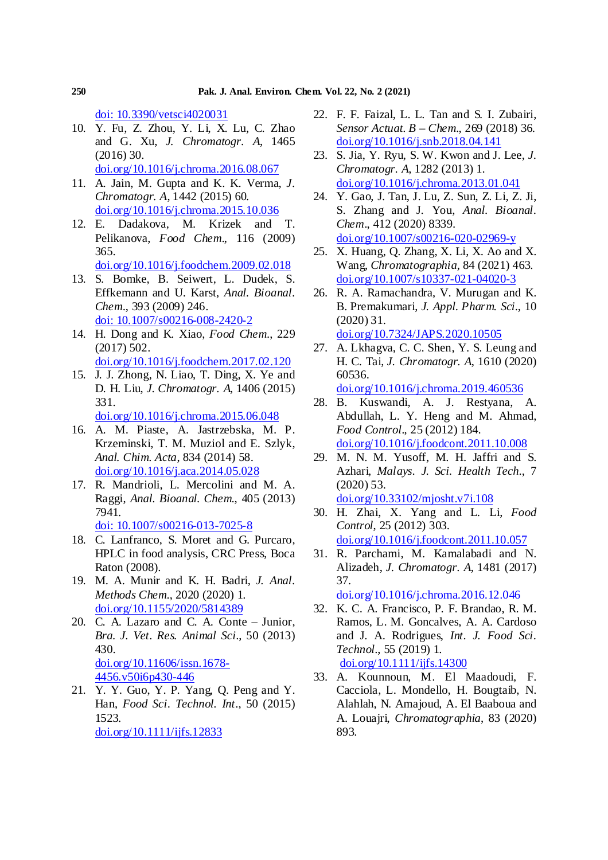doi: 10.3390/vetsci4020031

- 10. Y. Fu, Z. Zhou, Y. Li, X. Lu, C. Zhao and G. Xu, *J. Chromatogr. A*, 1465 (2016) 30. doi.org/10.1016/j.chroma.2016.08.067
- 11. A. Jain, M. Gupta and K. K. Verma, *J. Chromatogr. A*, 1442 (2015) 60. doi.org/10.1016/j.chroma.2015.10.036
- 12. E. Dadakova, M. Krizek and T. Pelikanova, *Food Chem*., 116 (2009) 365. doi.org/10.1016/j.foodchem.2009.02.018
- 13. S. Bomke, B. Seiwert, L. Dudek, S. Effkemann and U. Karst, *Anal. Bioanal. Chem*., 393 (2009) 246. doi: 10.1007/s00216-008-2420-2
- 14. H. Dong and K. Xiao, *Food Chem*., 229 (2017) 502. doi.org/10.1016/j.foodchem.2017.02.120
- 15. J. J. Zhong, N. Liao, T. Ding, X. Ye and D. H. Liu, *J. Chromatogr. A*, 1406 (2015) 331.
	- doi.org/10.1016/j.chroma.2015.06.048
- 16. A. M. Piaste, A. Jastrzebska, M. P. Krzeminski, T. M. Muziol and E. Szlyk, *Anal. Chim. Acta*, 834 (2014) 58. doi.org/10.1016/j.aca.2014.05.028
- 17. R. Mandrioli, L. Mercolini and M. A. Raggi, *Anal. Bioanal. Chem*., 405 (2013) 7941. doi: 10.1007/s00216-013-7025-8
- 18. C. Lanfranco, S. Moret and G. Purcaro, HPLC in food analysis, CRC Press, Boca Raton (2008).
- 19. M. A. Munir and K. H. Badri, *J. Anal. Methods Chem*., 2020 (2020) 1. doi.org/10.1155/2020/5814389
- 20. C. A. Lazaro and C. A. Conte Junior, *Bra. J. Vet. Res. Animal Sci*., 50 (2013) 430. doi.org/10.11606/issn.1678- 4456.v50i6p430-446
- 21. Y. Y. Guo, Y. P. Yang, Q. Peng and Y. Han, *Food Sci. Technol. Int*., 50 (2015) 1523. doi.org/10.1111/ijfs.12833
- 22. F. F. Faizal, L. L. Tan and S. I. Zubairi, *Sensor Actuat. B – Chem*., 269 (2018) 36. doi.org/10.1016/j.snb.2018.04.141
- 23. S. Jia, Y. Ryu, S. W. Kwon and J. Lee, *J. Chromatogr. A*, 1282 (2013) 1. doi.org/10.1016/j.chroma.2013.01.041
- 24. Y. Gao, J. Tan, J. Lu, Z. Sun, Z. Li, Z. Ji, S. Zhang and J. You, *Anal. Bioanal. Chem*., 412 (2020) 8339. doi.org/10.1007/s00216-020-02969-y
- 25. X. Huang, Q. Zhang, X. Li, X. Ao and X. Wang, *Chromatographia*, 84 (2021) 463. doi.org/10.1007/s10337-021-04020-3
- 26. R. A. Ramachandra, V. Murugan and K. B. Premakumari, *J. Appl. Pharm. Sci*., 10 (2020) 31. doi.org/10.7324/JAPS.2020.10505
- 27. A. Lkhagva, C. C. Shen, Y. S. Leung and H. C. Tai, *J. Chromatogr. A*, 1610 (2020) 60536.
- doi.org/10.1016/j.chroma.2019.460536 28. B. Kuswandi, A. J. Restyana, A.
- Abdullah, L. Y. Heng and M. Ahmad, *Food Control*., 25 (2012) 184. doi.org/10.1016/j.foodcont.2011.10.008
- 29. M. N. M. Yusoff, M. H. Jaffri and S. Azhari, *Malays. J. Sci. Health Tech*., 7 (2020) 53. doi.org/10.33102/mjosht.v7i.108
- 30. H. Zhai, X. Yang and L. Li, *Food Control*, 25 (2012) 303. doi.org/10.1016/j.foodcont.2011.10.057
- 31. R. Parchami, M. Kamalabadi and N. Alizadeh, *J. Chromatogr. A*, 1481 (2017) 37.

doi.org/10.1016/j.chroma.2016.12.046

- 32. K. C. A. Francisco, P. F. Brandao, R. M. Ramos, L. M. Goncalves, A. A. Cardoso and J. A. Rodrigues, *Int. J. Food Sci. Technol*., 55 (2019) 1. doi.org/10.1111/ijfs.14300
- 33. A. Kounnoun, M. El Maadoudi, F. Cacciola, L. Mondello, H. Bougtaib, N. Alahlah, N. Amajoud, A. El Baaboua and A. Louajri, *Chromatographia*, 83 (2020) 893.